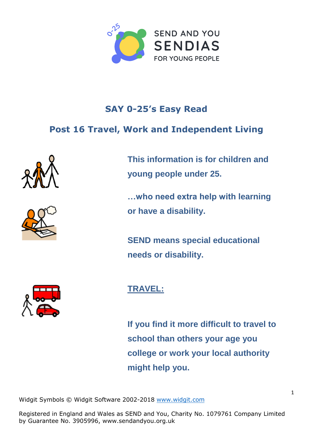

## **SAY 0-25's Easy Read**

## **Post 16 Travel, Work and Independent Living**





**This information is for children and young people under 25.**

**…who need extra help with learning or have a disability.**

**SEND means special educational needs or disability.**



## **TRAVEL:**

**If you find it more difficult to travel to school than others your age you college or work your local authority might help you.**

Widgit Symbols © Widgit Software 2[002-2018](http://www.widgit.com/) [www.widgit.com](http://www.widgit.com)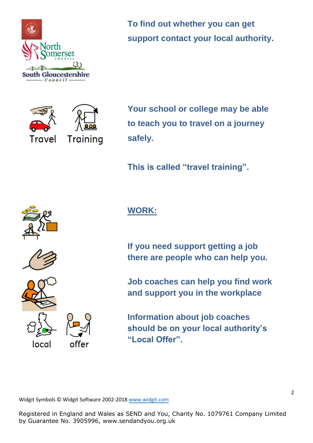

**To find out whether you can get support contact your local authority.**



**Your school or college may be able to teach you to travel on a journey safely.**

**This is called "travel training".** 







local



offer

**WORK:**

**If you need support getting a job there are people who can help you.**

**Job coaches can help you find work and support you in the workplace**

**Information about job coaches should be on your local authority's "Local Offer".**

Widgit Symbols © Widgit Software 2002-201[8 www.widgit.com](http://www.widgit.com/)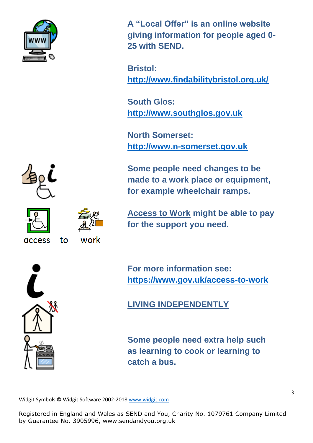

**A "Local Offer" is an online website giving information for people aged 0- 25 with SEND.**

**Bristol: <http://www.findabilitybristol.org.uk/>**

**South Glos: [http://www.southglos.gov.uk](http://www.southglos.gov.uk/)**

**North Somerset: [http://www.n-somerset.gov.uk](http://www.n-somerset.gov.uk/)**

**Some people need changes to be made to a work place or equipment, for example wheelchair ramps.**





**Access to Work might be able to pay for the support you need.**

**For more information see: <https://www.gov.uk/access-to-work>**

**LIVING INDEPENDENTLY**

**Some people need extra help such as learning to cook or learning to catch a bus.**

Widgit Symbols © Widgit Software 2002-201[8 www.widgit.com](http://www.widgit.com/)

Registered in England and Wales as SEND and You, Charity No. 1079761 Company Limited by Guarantee No. 3905996, [www.sendandyou.org.uk](http://www.sendandyou.org.uk) 

access

to

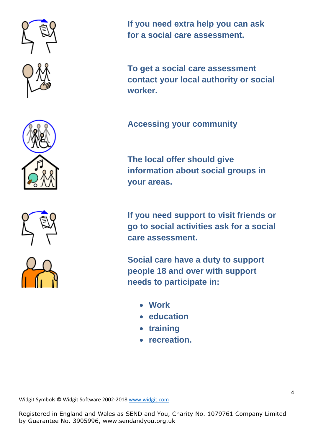





**If you need extra help you can ask for a social care assessment.**

**To get a social care assessment contact your local authority or social worker.**

**Accessing your community**

**The local offer should give information about social groups in your areas.**

**If you need support to visit friends or go to social activities ask for a social care assessment.**

**Social care have a duty to support people 18 and over with support needs to participate in:**

- **Work**
- **education**
- **training**
- **recreation.**

Widgit Symbols © Widgit Software 2002-201[8 www.widgit.com](http://www.widgit.com/)